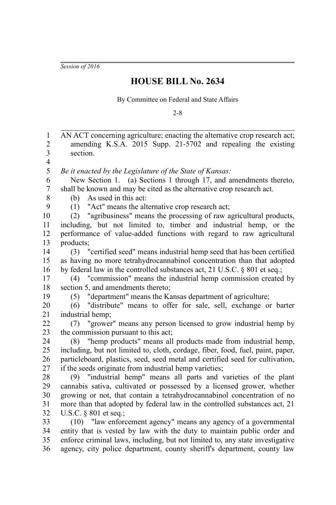*Session of 2016*

## **HOUSE BILL No. 2634**

By Committee on Federal and State Affairs

2-8

AN ACT concerning agriculture; enacting the alternative crop research act; amending K.S.A. 2015 Supp. 21-5702 and repealing the existing section. *Be it enacted by the Legislature of the State of Kansas:* New Section 1. (a) Sections 1 through 17, and amendments thereto, shall be known and may be cited as the alternative crop research act. (b) As used in this act: (1) "Act" means the alternative crop research act; (2) "agribusiness" means the processing of raw agricultural products, including, but not limited to, timber and industrial hemp, or the performance of value-added functions with regard to raw agricultural products; (3) "certified seed" means industrial hemp seed that has been certified as having no more tetrahydrocannabinol concentration than that adopted by federal law in the controlled substances act, 21 U.S.C. § 801 et seq.; (4) "commission" means the industrial hemp commission created by section 5, and amendments thereto: (5) "department" means the Kansas department of agriculture; (6) "distribute" means to offer for sale, sell, exchange or barter industrial hemp; (7) "grower" means any person licensed to grow industrial hemp by the commission pursuant to this act; (8) "hemp products" means all products made from industrial hemp, including, but not limited to, cloth, cordage, fiber, food, fuel, paint, paper, particleboard, plastics, seed, seed metal and certified seed for cultivation, if the seeds originate from industrial hemp varieties; (9) "industrial hemp" means all parts and varieties of the plant cannabis sativa, cultivated or possessed by a licensed grower, whether growing or not, that contain a tetrahydrocannabinol concentration of no more than that adopted by federal law in the controlled substances act, 21 U.S.C. § 801 et seq.; (10) "law enforcement agency" means any agency of a governmental entity that is vested by law with the duty to maintain public order and enforce criminal laws, including, but not limited to, any state investigative agency, city police department, county sheriff's department, county law 1 2 3 4 5 6 7 8 9 10 11 12 13 14 15 16 17 18 19 20 21 22 23 24 25 26 27 28 29 30 31 32 33 34 35 36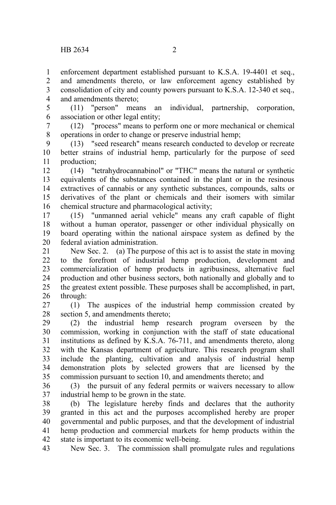enforcement department established pursuant to K.S.A. 19-4401 et seq., and amendments thereto, or law enforcement agency established by consolidation of city and county powers pursuant to K.S.A. 12-340 et seq., and amendments thereto; 1 2 3 4

(11) "person" means an individual, partnership, corporation, association or other legal entity; 5 6

(12) "process" means to perform one or more mechanical or chemical operations in order to change or preserve industrial hemp; 7 8

(13) "seed research" means research conducted to develop or recreate better strains of industrial hemp, particularly for the purpose of seed production; 9 10 11

(14) "tetrahydrocannabinol" or "THC" means the natural or synthetic equivalents of the substances contained in the plant or in the resinous extractives of cannabis or any synthetic substances, compounds, salts or derivatives of the plant or chemicals and their isomers with similar chemical structure and pharmacological activity; 12 13 14 15 16

(15) "unmanned aerial vehicle" means any craft capable of flight without a human operator, passenger or other individual physically on board operating within the national airspace system as defined by the federal aviation administration. 17 18 19 20

New Sec. 2. (a) The purpose of this act is to assist the state in moving to the forefront of industrial hemp production, development and commercialization of hemp products in agribusiness, alternative fuel production and other business sectors, both nationally and globally and to the greatest extent possible. These purposes shall be accomplished, in part, through: 21 22 23 24 25 26

(1) The auspices of the industrial hemp commission created by section 5, and amendments thereto; 27 28

(2) the industrial hemp research program overseen by the commission, working in conjunction with the staff of state educational institutions as defined by K.S.A. 76-711, and amendments thereto, along with the Kansas department of agriculture. This research program shall include the planting, cultivation and analysis of industrial hemp demonstration plots by selected growers that are licensed by the commission pursuant to section 10, and amendments thereto; and 29 30 31 32 33 34 35

(3) the pursuit of any federal permits or waivers necessary to allow industrial hemp to be grown in the state. 36 37

(b) The legislature hereby finds and declares that the authority granted in this act and the purposes accomplished hereby are proper governmental and public purposes, and that the development of industrial hemp production and commercial markets for hemp products within the state is important to its economic well-being. 38 39 40 41 42

New Sec. 3. The commission shall promulgate rules and regulations 43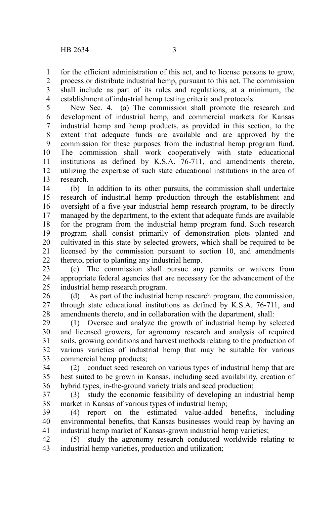for the efficient administration of this act, and to license persons to grow, 1

process or distribute industrial hemp, pursuant to this act. The commission shall include as part of its rules and regulations, at a minimum, the establishment of industrial hemp testing criteria and protocols. 2 3 4

New Sec. 4. (a) The commission shall promote the research and development of industrial hemp, and commercial markets for Kansas industrial hemp and hemp products, as provided in this section, to the extent that adequate funds are available and are approved by the commission for these purposes from the industrial hemp program fund. The commission shall work cooperatively with state educational institutions as defined by K.S.A. 76-711, and amendments thereto, utilizing the expertise of such state educational institutions in the area of research. 5 6 7 8 9 10 11 12 13

(b) In addition to its other pursuits, the commission shall undertake research of industrial hemp production through the establishment and oversight of a five-year industrial hemp research program, to be directly managed by the department, to the extent that adequate funds are available for the program from the industrial hemp program fund. Such research program shall consist primarily of demonstration plots planted and cultivated in this state by selected growers, which shall be required to be licensed by the commission pursuant to section 10, and amendments thereto, prior to planting any industrial hemp. 14 15 16 17 18 19 20 21 22

(c) The commission shall pursue any permits or waivers from appropriate federal agencies that are necessary for the advancement of the industrial hemp research program. 23 24 25

(d) As part of the industrial hemp research program, the commission, through state educational institutions as defined by K.S.A. 76-711, and amendments thereto, and in collaboration with the department, shall: 26 27 28

(1) Oversee and analyze the growth of industrial hemp by selected and licensed growers, for agronomy research and analysis of required soils, growing conditions and harvest methods relating to the production of various varieties of industrial hemp that may be suitable for various commercial hemp products; 29 30 31 32 33

(2) conduct seed research on various types of industrial hemp that are best suited to be grown in Kansas, including seed availability, creation of hybrid types, in-the-ground variety trials and seed production; 34 35 36

(3) study the economic feasibility of developing an industrial hemp market in Kansas of various types of industrial hemp; 37 38

(4) report on the estimated value-added benefits, including environmental benefits, that Kansas businesses would reap by having an industrial hemp market of Kansas-grown industrial hemp varieties; 39 40 41

(5) study the agronomy research conducted worldwide relating to industrial hemp varieties, production and utilization; 42 43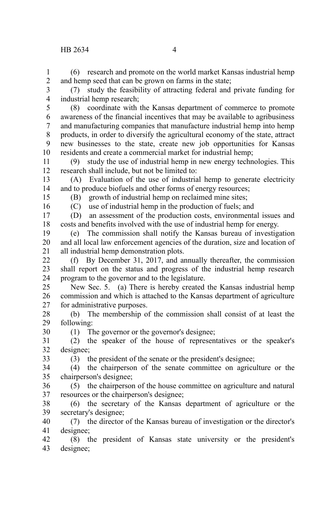(6) research and promote on the world market Kansas industrial hemp and hemp seed that can be grown on farms in the state; 1 2

(7) study the feasibility of attracting federal and private funding for industrial hemp research; 3 4

(8) coordinate with the Kansas department of commerce to promote awareness of the financial incentives that may be available to agribusiness and manufacturing companies that manufacture industrial hemp into hemp products, in order to diversify the agricultural economy of the state, attract new businesses to the state, create new job opportunities for Kansas residents and create a commercial market for industrial hemp; 5 6 7 8 9 10

(9) study the use of industrial hemp in new energy technologies. This research shall include, but not be limited to: 11 12

(A) Evaluation of the use of industrial hemp to generate electricity and to produce biofuels and other forms of energy resources; 13 14

(B) growth of industrial hemp on reclaimed mine sites;

(C) use of industrial hemp in the production of fuels; and

(D) an assessment of the production costs, environmental issues and costs and benefits involved with the use of industrial hemp for energy. 17 18

(e) The commission shall notify the Kansas bureau of investigation and all local law enforcement agencies of the duration, size and location of all industrial hemp demonstration plots. 19 20 21

(f) By December 31, 2017, and annually thereafter, the commission shall report on the status and progress of the industrial hemp research program to the governor and to the legislature.  $22$ 23 24

New Sec. 5. (a) There is hereby created the Kansas industrial hemp commission and which is attached to the Kansas department of agriculture for administrative purposes.  $25$ 26 27

(b) The membership of the commission shall consist of at least the following: 28 29

(1) The governor or the governor's designee;

(2) the speaker of the house of representatives or the speaker's designee; 31 32

33

30

(3) the president of the senate or the president's designee;

(4) the chairperson of the senate committee on agriculture or the chairperson's designee; 34 35

 $(5)$  the chairperson of the house committee on agriculture and natural resources or the chairperson's designee; 36 37

(6) the secretary of the Kansas department of agriculture or the secretary's designee; 38 39

(7) the director of the Kansas bureau of investigation or the director's designee; 40 41

(8) the president of Kansas state university or the president's designee; 42 43

15 16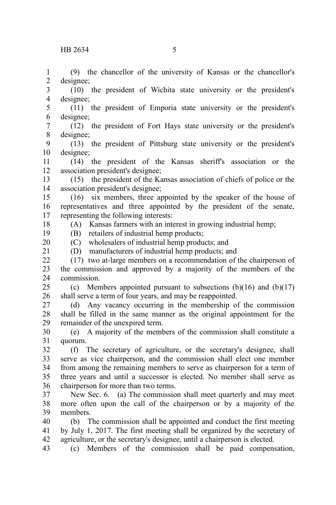(9) the chancellor of the university of Kansas or the chancellor's designee; 1 2

(10) the president of Wichita state university or the president's designee; 3 4

(11) the president of Emporia state university or the president's designee; 5 6

(12) the president of Fort Hays state university or the president's designee; 7 8

(13) the president of Pittsburg state university or the president's designee; 9 10

(14) the president of the Kansas sheriff's association or the association president's designee; 11 12

(15) the president of the Kansas association of chiefs of police or the association president's designee; 13 14

(16) six members, three appointed by the speaker of the house of representatives and three appointed by the president of the senate, representing the following interests: 15 16 17

(A) Kansas farmers with an interest in growing industrial hemp;

(B) retailers of industrial hemp products; 19

(C) wholesalers of industrial hemp products; and (D) manufacturers of industrial hemp products; and 20

21

18

(17) two at-large members on a recommendation of the chairperson of the commission and approved by a majority of the members of the commission.  $22$ 23 24

(c) Members appointed pursuant to subsections  $(b)(16)$  and  $(b)(17)$ shall serve a term of four years, and may be reappointed. 25 26

(d) Any vacancy occurring in the membership of the commission shall be filled in the same manner as the original appointment for the remainder of the unexpired term. 27 28 29

(e) A majority of the members of the commission shall constitute a quorum. 30 31

(f) The secretary of agriculture, or the secretary's designee, shall serve as vice chairperson, and the commission shall elect one member from among the remaining members to serve as chairperson for a term of three years and until a successor is elected. No member shall serve as chairperson for more than two terms. 32 33 34 35 36

New Sec. 6. (a) The commission shall meet quarterly and may meet more often upon the call of the chairperson or by a majority of the members. 37 38 39

(b) The commission shall be appointed and conduct the first meeting by July 1, 2017. The first meeting shall be organized by the secretary of agriculture, or the secretary's designee, until a chairperson is elected. 40 41 42

(c) Members of the commission shall be paid compensation, 43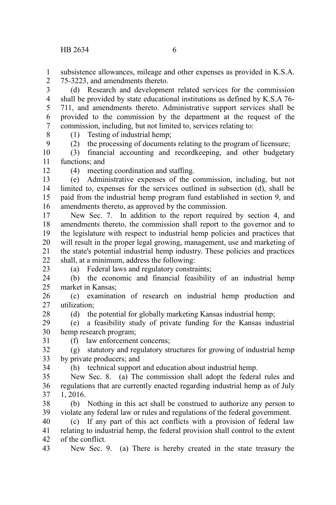subsistence allowances, mileage and other expenses as provided in K.S.A. 75-3223, and amendments thereto. 1  $\mathcal{L}$ 

(d) Research and development related services for the commission shall be provided by state educational institutions as defined by K.S.A 76- 711, and amendments thereto. Administrative support services shall be provided to the commission by the department at the request of the commission, including, but not limited to, services relating to: 3 4 5 6 7

8 9 (1) Testing of industrial hemp;

(2) the processing of documents relating to the program of licensure;

(3) financial accounting and recordkeeping, and other budgetary functions; and 10 11

12

(4) meeting coordination and staffing.

(e) Administrative expenses of the commission, including, but not limited to, expenses for the services outlined in subsection (d), shall be paid from the industrial hemp program fund established in section 9, and amendments thereto, as approved by the commission. 13 14 15 16

New Sec. 7. In addition to the report required by section 4, and amendments thereto, the commission shall report to the governor and to the legislature with respect to industrial hemp policies and practices that will result in the proper legal growing, management, use and marketing of the state's potential industrial hemp industry. These policies and practices shall, at a minimum, address the following: 17 18 19 20 21 22

(a) Federal laws and regulatory constraints;

(b) the economic and financial feasibility of an industrial hemp market in Kansas; 24 25

(c) examination of research on industrial hemp production and utilization; 26 27

28

23

(d) the potential for globally marketing Kansas industrial hemp;

(e) a feasibility study of private funding for the Kansas industrial hemp research program; 29 30

31

(f) law enforcement concerns;

(g) statutory and regulatory structures for growing of industrial hemp by private producers; and 32 33 34

(h) technical support and education about industrial hemp.

New Sec. 8. (a) The commission shall adopt the federal rules and regulations that are currently enacted regarding industrial hemp as of July 1, 2016. 35 36 37

(b) Nothing in this act shall be construed to authorize any person to violate any federal law or rules and regulations of the federal government. 38 39

(c) If any part of this act conflicts with a provision of federal law relating to industrial hemp, the federal provision shall control to the extent of the conflict. 40 41 42

New Sec. 9. (a) There is hereby created in the state treasury the 43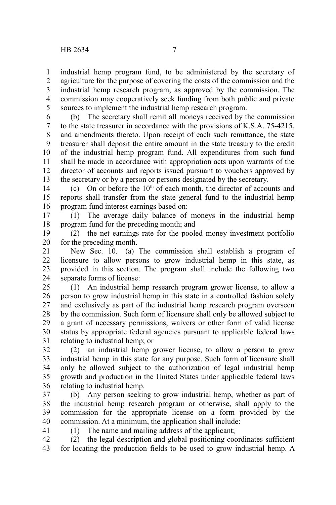industrial hemp program fund, to be administered by the secretary of agriculture for the purpose of covering the costs of the commission and the industrial hemp research program, as approved by the commission. The commission may cooperatively seek funding from both public and private sources to implement the industrial hemp research program. 1 2 3 4 5

(b) The secretary shall remit all moneys received by the commission to the state treasurer in accordance with the provisions of K.S.A. 75-4215, and amendments thereto. Upon receipt of each such remittance, the state treasurer shall deposit the entire amount in the state treasury to the credit of the industrial hemp program fund. All expenditures from such fund shall be made in accordance with appropriation acts upon warrants of the director of accounts and reports issued pursuant to vouchers approved by the secretary or by a person or persons designated by the secretary. 6 7 8 9 10 11 12 13

(c) On or before the  $10<sup>th</sup>$  of each month, the director of accounts and reports shall transfer from the state general fund to the industrial hemp program fund interest earnings based on: 14 15 16

(1) The average daily balance of moneys in the industrial hemp program fund for the preceding month; and 17 18

(2) the net earnings rate for the pooled money investment portfolio for the preceding month. 19 20

New Sec. 10. (a) The commission shall establish a program of licensure to allow persons to grow industrial hemp in this state, as provided in this section. The program shall include the following two separate forms of license: 21 22 23 24

(1) An industrial hemp research program grower license, to allow a person to grow industrial hemp in this state in a controlled fashion solely and exclusively as part of the industrial hemp research program overseen by the commission. Such form of licensure shall only be allowed subject to a grant of necessary permissions, waivers or other form of valid license status by appropriate federal agencies pursuant to applicable federal laws relating to industrial hemp; or 25 26 27 28 29 30 31

(2) an industrial hemp grower license, to allow a person to grow industrial hemp in this state for any purpose. Such form of licensure shall only be allowed subject to the authorization of legal industrial hemp growth and production in the United States under applicable federal laws relating to industrial hemp. 32 33 34 35 36

(b) Any person seeking to grow industrial hemp, whether as part of the industrial hemp research program or otherwise, shall apply to the commission for the appropriate license on a form provided by the commission. At a minimum, the application shall include: 37 38 39 40

41

(1) The name and mailing address of the applicant;

(2) the legal description and global positioning coordinates sufficient for locating the production fields to be used to grow industrial hemp. A 42 43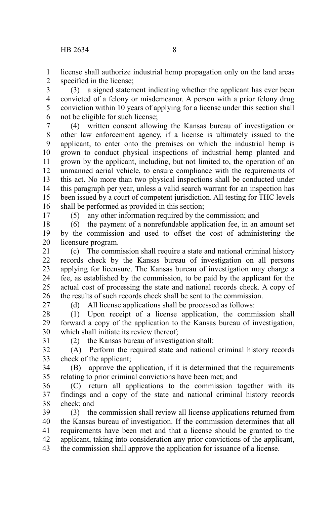license shall authorize industrial hemp propagation only on the land areas specified in the license; 1 2

(3) a signed statement indicating whether the applicant has ever been convicted of a felony or misdemeanor. A person with a prior felony drug conviction within 10 years of applying for a license under this section shall not be eligible for such license; 3 4 5 6

(4) written consent allowing the Kansas bureau of investigation or other law enforcement agency, if a license is ultimately issued to the applicant, to enter onto the premises on which the industrial hemp is grown to conduct physical inspections of industrial hemp planted and grown by the applicant, including, but not limited to, the operation of an unmanned aerial vehicle, to ensure compliance with the requirements of this act. No more than two physical inspections shall be conducted under this paragraph per year, unless a valid search warrant for an inspection has been issued by a court of competent jurisdiction. All testing for THC levels shall be performed as provided in this section; 7 8 9 10 11 12 13 14 15 16

17

(5) any other information required by the commission; and

(6) the payment of a nonrefundable application fee, in an amount set by the commission and used to offset the cost of administering the licensure program. 18 19 20

(c) The commission shall require a state and national criminal history records check by the Kansas bureau of investigation on all persons applying for licensure. The Kansas bureau of investigation may charge a fee, as established by the commission, to be paid by the applicant for the actual cost of processing the state and national records check. A copy of the results of such records check shall be sent to the commission. 21 22 23 24 25 26

27

(d) All license applications shall be processed as follows:

(1) Upon receipt of a license application, the commission shall forward a copy of the application to the Kansas bureau of investigation, which shall initiate its review thereof; 28 29 30

31

(2) the Kansas bureau of investigation shall:

(A) Perform the required state and national criminal history records check of the applicant; 32 33

(B) approve the application, if it is determined that the requirements relating to prior criminal convictions have been met; and 34 35

(C) return all applications to the commission together with its findings and a copy of the state and national criminal history records check; and 36 37 38

(3) the commission shall review all license applications returned from the Kansas bureau of investigation. If the commission determines that all requirements have been met and that a license should be granted to the applicant, taking into consideration any prior convictions of the applicant, the commission shall approve the application for issuance of a license. 39 40 41 42 43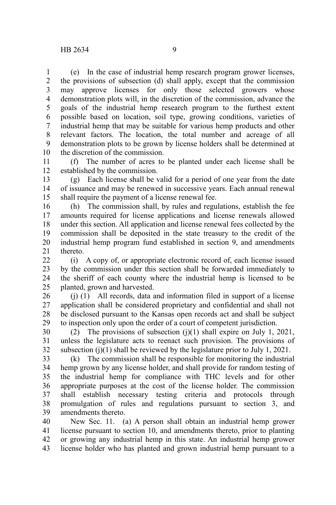(e) In the case of industrial hemp research program grower licenses, the provisions of subsection (d) shall apply, except that the commission may approve licenses for only those selected growers whose demonstration plots will, in the discretion of the commission, advance the goals of the industrial hemp research program to the furthest extent possible based on location, soil type, growing conditions, varieties of industrial hemp that may be suitable for various hemp products and other relevant factors. The location, the total number and acreage of all demonstration plots to be grown by license holders shall be determined at the discretion of the commission. 1 2 3 4 5 6 7 8 9 10

(f) The number of acres to be planted under each license shall be established by the commission. 11 12

(g) Each license shall be valid for a period of one year from the date of issuance and may be renewed in successive years. Each annual renewal shall require the payment of a license renewal fee. 13 14 15

(h) The commission shall, by rules and regulations, establish the fee amounts required for license applications and license renewals allowed under this section. All application and license renewal fees collected by the commission shall be deposited in the state treasury to the credit of the industrial hemp program fund established in section 9, and amendments thereto. 16 17 18 19 20 21

(i) A copy of, or appropriate electronic record of, each license issued by the commission under this section shall be forwarded immediately to the sheriff of each county where the industrial hemp is licensed to be planted, grown and harvested.  $22$ 23 24 25

(j) (1) All records, data and information filed in support of a license application shall be considered proprietary and confidential and shall not be disclosed pursuant to the Kansas open records act and shall be subject to inspection only upon the order of a court of competent jurisdiction. 26 27 28 29

(2) The provisions of subsection  $(i)(1)$  shall expire on July 1, 2021, unless the legislature acts to reenact such provision. The provisions of subsection  $(i)(1)$  shall be reviewed by the legislature prior to July 1, 2021. 30 31 32

(k) The commission shall be responsible for monitoring the industrial hemp grown by any license holder, and shall provide for random testing of the industrial hemp for compliance with THC levels and for other appropriate purposes at the cost of the license holder. The commission shall establish necessary testing criteria and protocols through promulgation of rules and regulations pursuant to section 3, and amendments thereto. 33 34 35 36 37 38 39

New Sec. 11. (a) A person shall obtain an industrial hemp grower license pursuant to section 10, and amendments thereto, prior to planting or growing any industrial hemp in this state. An industrial hemp grower license holder who has planted and grown industrial hemp pursuant to a 40 41 42 43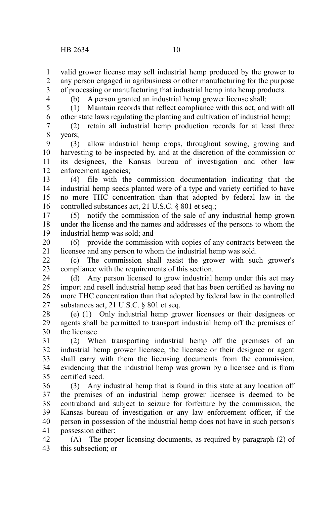4

valid grower license may sell industrial hemp produced by the grower to any person engaged in agribusiness or other manufacturing for the purpose of processing or manufacturing that industrial hemp into hemp products. 1 2 3

(b) A person granted an industrial hemp grower license shall:

(1) Maintain records that reflect compliance with this act, and with all other state laws regulating the planting and cultivation of industrial hemp; 5 6

(2) retain all industrial hemp production records for at least three years; 7 8

(3) allow industrial hemp crops, throughout sowing, growing and harvesting to be inspected by, and at the discretion of the commission or its designees, the Kansas bureau of investigation and other law enforcement agencies; 9 10 11 12

(4) file with the commission documentation indicating that the industrial hemp seeds planted were of a type and variety certified to have no more THC concentration than that adopted by federal law in the controlled substances act, 21 U.S.C. § 801 et seq.; 13 14 15 16

(5) notify the commission of the sale of any industrial hemp grown under the license and the names and addresses of the persons to whom the industrial hemp was sold; and 17 18 19

(6) provide the commission with copies of any contracts between the licensee and any person to whom the industrial hemp was sold. 20 21

(c) The commission shall assist the grower with such grower's compliance with the requirements of this section.  $22$ 23

(d) Any person licensed to grow industrial hemp under this act may import and resell industrial hemp seed that has been certified as having no more THC concentration than that adopted by federal law in the controlled substances act, 21 U.S.C. § 801 et seq. 24 25 26 27

(e) (1) Only industrial hemp grower licensees or their designees or agents shall be permitted to transport industrial hemp off the premises of the licensee. 28 29 30

(2) When transporting industrial hemp off the premises of an industrial hemp grower licensee, the licensee or their designee or agent shall carry with them the licensing documents from the commission, evidencing that the industrial hemp was grown by a licensee and is from certified seed. 31 32 33 34 35

(3) Any industrial hemp that is found in this state at any location off the premises of an industrial hemp grower licensee is deemed to be contraband and subject to seizure for forfeiture by the commission, the Kansas bureau of investigation or any law enforcement officer, if the person in possession of the industrial hemp does not have in such person's possession either: 36 37 38 39 40 41

(A) The proper licensing documents, as required by paragraph (2) of this subsection; or 42 43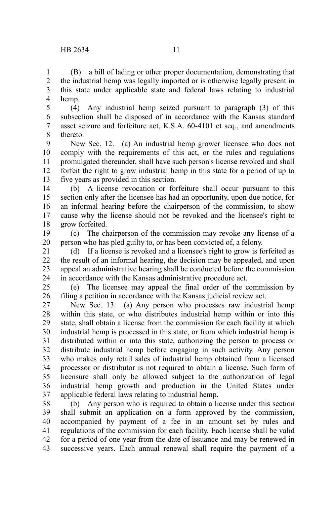(B) a bill of lading or other proper documentation, demonstrating that the industrial hemp was legally imported or is otherwise legally present in this state under applicable state and federal laws relating to industrial hemp. 1 2 3 4

(4) Any industrial hemp seized pursuant to paragraph (3) of this subsection shall be disposed of in accordance with the Kansas standard asset seizure and forfeiture act, K.S.A. 60-4101 et seq., and amendments thereto. 5 6 7 8

New Sec. 12. (a) An industrial hemp grower licensee who does not comply with the requirements of this act, or the rules and regulations promulgated thereunder, shall have such person's license revoked and shall forfeit the right to grow industrial hemp in this state for a period of up to five years as provided in this section. 9 10 11 12 13

(b) A license revocation or forfeiture shall occur pursuant to this section only after the licensee has had an opportunity, upon due notice, for an informal hearing before the chairperson of the commission, to show cause why the license should not be revoked and the licensee's right to grow forfeited. 14 15 16 17 18

(c) The chairperson of the commission may revoke any license of a person who has pled guilty to, or has been convicted of, a felony. 19 20

(d) If a license is revoked and a licensee's right to grow is forfeited as the result of an informal hearing, the decision may be appealed, and upon appeal an administrative hearing shall be conducted before the commission in accordance with the Kansas administrative procedure act. 21 22 23 24

(e) The licensee may appeal the final order of the commission by filing a petition in accordance with the Kansas judicial review act. 25 26

New Sec. 13. (a) Any person who processes raw industrial hemp within this state, or who distributes industrial hemp within or into this state, shall obtain a license from the commission for each facility at which industrial hemp is processed in this state, or from which industrial hemp is distributed within or into this state, authorizing the person to process or distribute industrial hemp before engaging in such activity. Any person who makes only retail sales of industrial hemp obtained from a licensed processor or distributor is not required to obtain a license. Such form of licensure shall only be allowed subject to the authorization of legal industrial hemp growth and production in the United States under applicable federal laws relating to industrial hemp. 27 28 29 30 31 32 33 34 35 36 37

(b) Any person who is required to obtain a license under this section shall submit an application on a form approved by the commission, accompanied by payment of a fee in an amount set by rules and regulations of the commission for each facility. Each license shall be valid for a period of one year from the date of issuance and may be renewed in successive years. Each annual renewal shall require the payment of a 38 39 40 41 42 43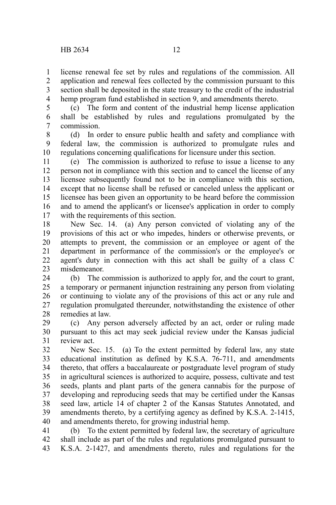license renewal fee set by rules and regulations of the commission. All application and renewal fees collected by the commission pursuant to this section shall be deposited in the state treasury to the credit of the industrial hemp program fund established in section 9, and amendments thereto. 1 2 3 4

(c) The form and content of the industrial hemp license application shall be established by rules and regulations promulgated by the commission. 5 6 7

(d) In order to ensure public health and safety and compliance with federal law, the commission is authorized to promulgate rules and regulations concerning qualifications for licensure under this section. 8 9 10

(e) The commission is authorized to refuse to issue a license to any person not in compliance with this section and to cancel the license of any licensee subsequently found not to be in compliance with this section, except that no license shall be refused or canceled unless the applicant or licensee has been given an opportunity to be heard before the commission and to amend the applicant's or licensee's application in order to comply with the requirements of this section. 11 12 13 14 15 16 17

New Sec. 14. (a) Any person convicted of violating any of the provisions of this act or who impedes, hinders or otherwise prevents, or attempts to prevent, the commission or an employee or agent of the department in performance of the commission's or the employee's or agent's duty in connection with this act shall be guilty of a class C misdemeanor. 18 19 20 21 22 23

(b) The commission is authorized to apply for, and the court to grant, a temporary or permanent injunction restraining any person from violating or continuing to violate any of the provisions of this act or any rule and regulation promulgated thereunder, notwithstanding the existence of other remedies at law. 24 25 26 27 28

(c) Any person adversely affected by an act, order or ruling made pursuant to this act may seek judicial review under the Kansas judicial review act. 29 30 31

New Sec. 15. (a) To the extent permitted by federal law, any state educational institution as defined by K.S.A. 76-711, and amendments thereto, that offers a baccalaureate or postgraduate level program of study in agricultural sciences is authorized to acquire, possess, cultivate and test seeds, plants and plant parts of the genera cannabis for the purpose of developing and reproducing seeds that may be certified under the Kansas seed law, article 14 of chapter 2 of the Kansas Statutes Annotated, and amendments thereto, by a certifying agency as defined by K.S.A. 2-1415, and amendments thereto, for growing industrial hemp. 32 33 34 35 36 37 38 39 40

(b) To the extent permitted by federal law, the secretary of agriculture shall include as part of the rules and regulations promulgated pursuant to K.S.A. 2-1427, and amendments thereto, rules and regulations for the 41 42 43